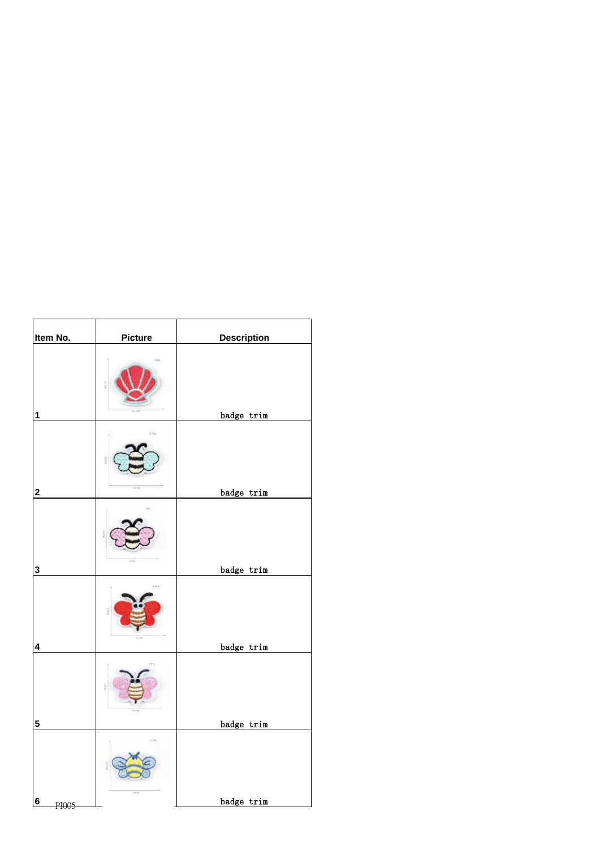| Item No.                | <b>Picture</b> | <b>Description</b> |
|-------------------------|----------------|--------------------|
| $\mathbf 1$             |                | badge trim         |
|                         | 0.39a          |                    |
| $\overline{\mathbf{2}}$ | 3.7 CM         | badge trim         |
|                         |                |                    |
| $\mathbf 3$             |                | badge trim         |
| $\overline{\mathbf{4}}$ | 0.650          | badge trim         |
|                         |                |                    |
| $\overline{\mathbf{5}}$ |                | badge trim         |
|                         | 0.586<br>3.6CM |                    |
| $6\phantom{1}$<br>PI005 |                | badge trim         |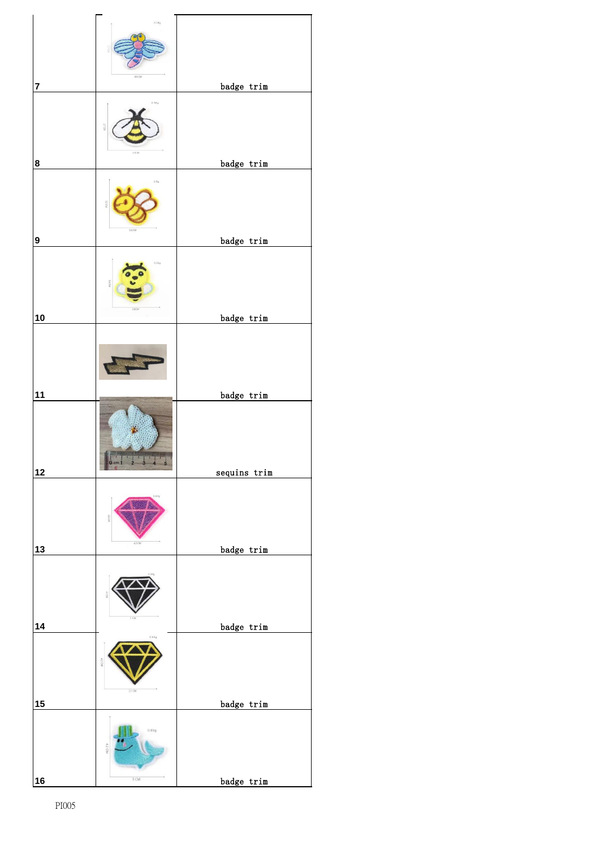|                | 0.54g                   |              |
|----------------|-------------------------|--------------|
| $\overline{7}$ | 4.0 CM                  | badge trim   |
|                | 0.389                   |              |
| 8              |                         | badge trim   |
|                | 0.80<br>16<             |              |
| 9              |                         | badge trim   |
|                | 0.55g                   |              |
| 10             |                         | badge trim   |
|                |                         |              |
| 11             |                         | badge trim   |
|                |                         |              |
| $12$           |                         | sequins trim |
|                |                         |              |
| 13             |                         | badge trim   |
|                |                         |              |
| 14             | 0.64g                   | badge trim   |
|                | $5.1 \text{ C}M$        |              |
| 15             |                         | badge trim   |
|                | 0.83g                   |              |
| 16             | $5 \text{ }\mathrm{CM}$ | badge trim   |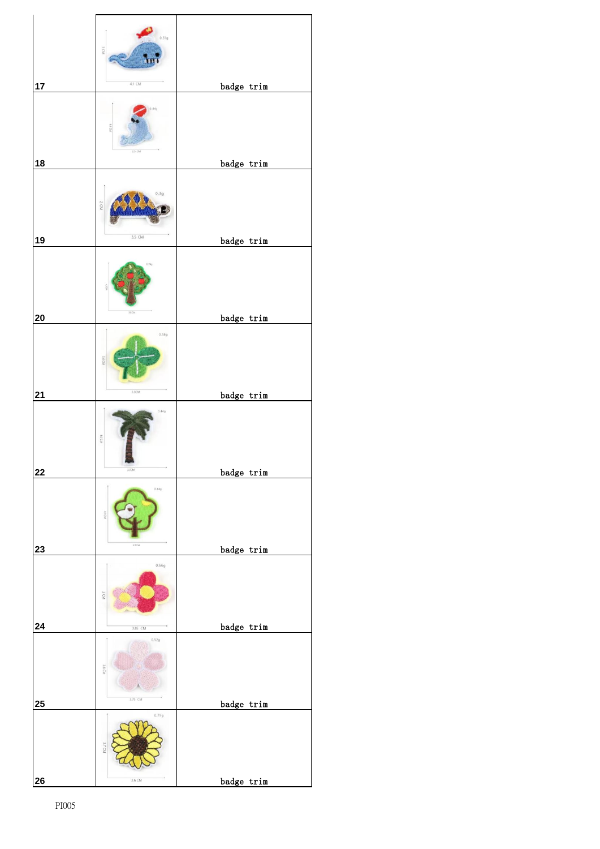|                  | 0.51g<br>JΟM                      |            |
|------------------|-----------------------------------|------------|
| 17               | $4.1 \text{ CM}$<br>25 CM         | badge trim |
| 18               | 3q<br>2 CM                        | badge trim |
| 19               | 3.5 CM                            | badge trim |
| 20               | $3.6\,\mathrm{C}M$<br>0.58g<br>öF | badge trim |
| 21               | $3.3 \text{CM}$<br>44g<br>4.0 CM  | badge trim |
| 22               | $3.1\mathrm{CM}$<br>0.44g         | badge trim |
| 23               | 3.7CM<br>0.66g<br>3 CM            | badge trim |
| 24               | 3.85 CM<br>0.52g<br>36 OM         | badge trim |
| $25\phantom{.0}$ | 3.75 CM<br>0.79g<br>37CM          | badge trim |
| 26               | $3.6$ CM                          | badge trim |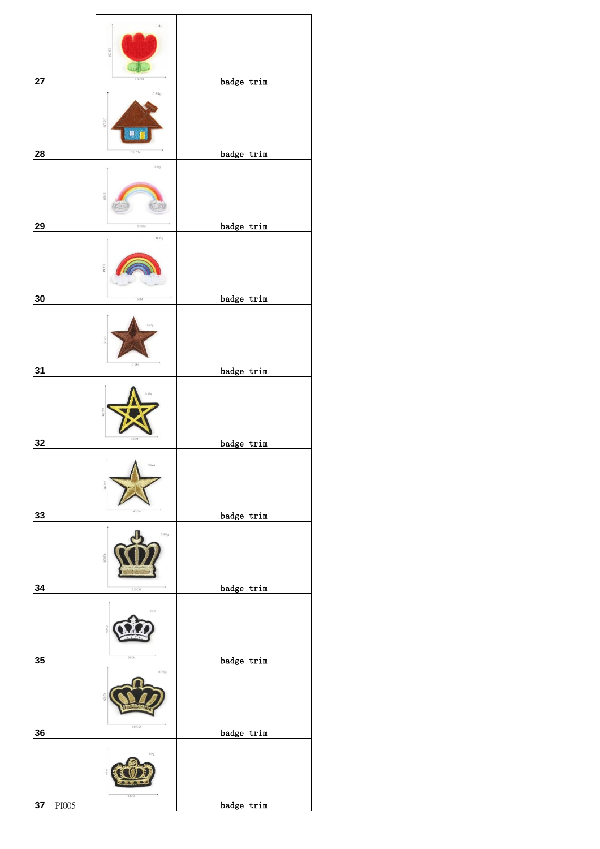| 27              |       | 0.4g<br>yaou<br>2.4 CM            | badge trim |
|-----------------|-------|-----------------------------------|------------|
|                 |       | 0.84g<br>38 CM<br>$\blacksquare$  |            |
| 28              |       | 5.6 CM<br>$0.8\ensuremath{g}$     | badge trim |
| 29              |       | 51 <sub>CM</sub><br>0.81g<br>WOEE | badge trim |
| $30\,$          |       | 5CM                               | badge trim |
| 31              |       | $\exists$ CM                      | badge trim |
| 32              |       | Ť                                 | badge trim |
| 33              |       | 0.88g                             | badge trim |
| 34              |       | $5.5\,\mathrm{CM}$<br>0.31g       | badge trim |
| $35\phantom{a}$ |       | $3.6$ CM<br>0.76g<br>5.6 CM       | badge trim |
| 36              |       | M333                              | badge trim |
| 37              | PI005 |                                   | badge trim |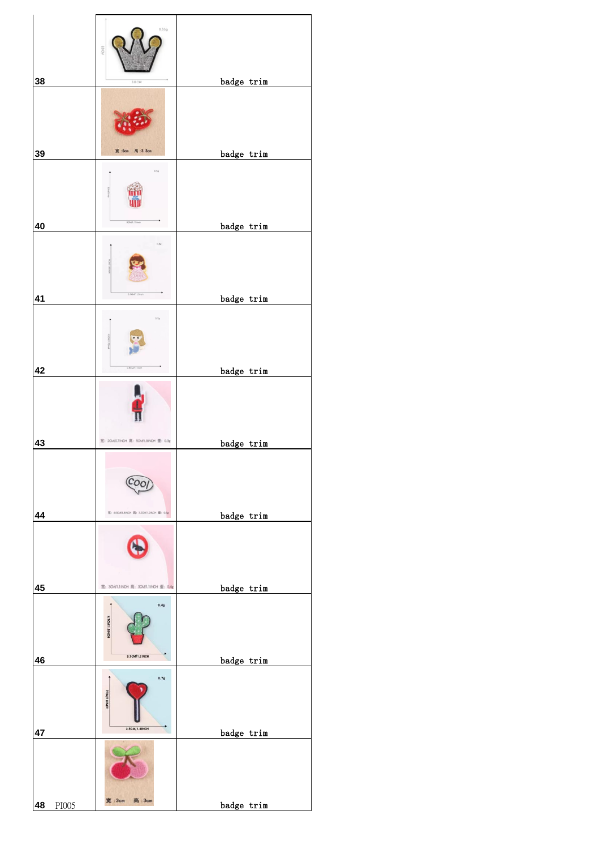|             | 0.559<br>39 CM                          |            |
|-------------|-----------------------------------------|------------|
| 38          | $3.8$ CM                                | badge trim |
|             | 宽:5cm 高:3.3cm                           |            |
| 39          |                                         | badge trim |
| 40          | $_{0.5\mathrm{g}}$<br>3CM/1.15inch      |            |
|             |                                         | badge trim |
|             | 0.8g<br>3.10M1.2inph                    |            |
| 41          |                                         | badge trim |
|             | $_{0.7g}$                               |            |
| 42          | .BCM <sup>11</sup> .1 inch              | badge trim |
|             |                                         |            |
| 43          | 宽: 2CM0.7INCH 高: 5CM1.9INCH 重: 0.3g     | badge trim |
| 44          | 宽: 4.6CM1.8INDH 高: 3.2CM1.2INDH 里: 0.6g | badge trim |
|             |                                         |            |
| 45          | 宽: 3CM1.1INCH 高: 3CM1.1INCH 重: 0.4g     | badge trim |
|             | 0.4g<br>4.7CM/1.8 INCH<br>3.7CM/1.2INCH |            |
| 46          |                                         | badge trim |
| 47          | 0.7g<br>TCM/2.8 INCH<br>3.5CM/1.4INCH   | badge trim |
|             |                                         |            |
| 48<br>PI005 | 宽:3cm 高:3cm                             | badge trim |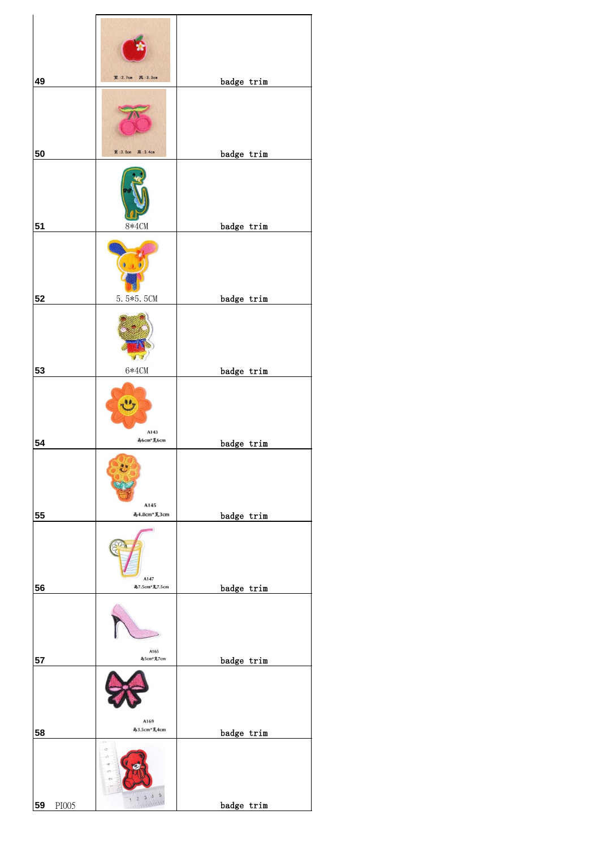| 49          | 宽: 2.7cm 高: 3.3cm                                              | badge trim |
|-------------|----------------------------------------------------------------|------------|
|             |                                                                |            |
| 50          | 宽:3.5cm 高:3.4cm                                                | badge trim |
| 51          | $8*4CM$                                                        | badge trim |
|             |                                                                |            |
|             |                                                                |            |
| 52          | 5.5*5.5CM                                                      | badge trim |
|             |                                                                |            |
| 53          | $6*4CM$                                                        | badge trim |
|             | لوفاج<br>A143<br>あ6cm*克6cm                                     |            |
| 54          |                                                                | badge trim |
|             | $\ddot{\text{C}}$<br>A145<br>高4.8cm*宽3cm                       |            |
| 55          |                                                                | badge trim |
|             | A147                                                           |            |
| 56          | 高7.5cm*宽7.5cm                                                  | badge trim |
|             | A165                                                           |            |
| 57          | 尚5cm*宽7cm                                                      | badge trim |
|             | A169                                                           |            |
| 58          | 高3.5cm*宽4cm<br>T.                                              | badge trim |
|             | $\omega$<br>$\mathsf{L}\mathsf{C}$<br>ං<br>$\sim$<br>1 2 3 4 5 |            |
| 59<br>PI005 |                                                                | badge trim |